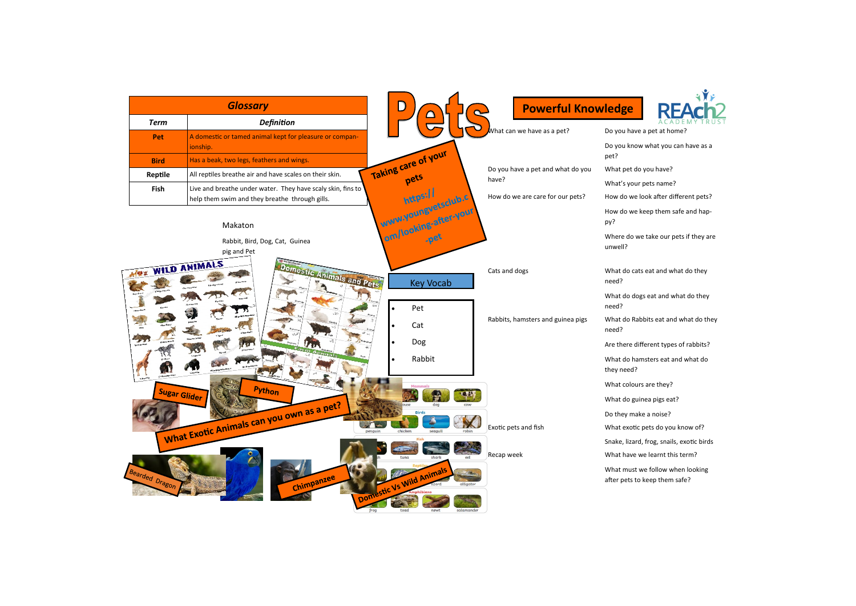

- what you can have as a
- you have?
- pets name?
- look after different pets?
- keep them safe and hap-
- e take our pets if they are
- eat and what do they
- gs eat and what do they
- bits eat and what do they
- fferent types of rabbits?
- msters eat and what do
- s are they?
- nea pigs eat?
- e a noise?
- pets do you know of?
- , frog, snails, exotic birds
- ve learnt this term?
- we follow when looking
- keep them safe?

| <b>Glossary</b>                                      |                                                                     | $\overline{\phantom{a}}$                                         | <b>Powerful Knowledge</b>         |                              |
|------------------------------------------------------|---------------------------------------------------------------------|------------------------------------------------------------------|-----------------------------------|------------------------------|
| <b>Term</b>                                          | <b>Definition</b>                                                   | $\Box$                                                           |                                   |                              |
| Pet                                                  | A domestic or tamed animal kept for pleasure or compan-<br>ionship. |                                                                  | What can we have as a pet?        | Do you have<br>Do you know   |
| <b>Bird</b>                                          | Has a beak, two legs, feathers and wings.                           |                                                                  |                                   | pet?                         |
| Reptile                                              | All reptiles breathe air and have scales on their skin.             | Taking care of your<br>Do you have a pet and what do you<br>pets |                                   | What pet do                  |
| Fish                                                 | Live and breathe under water. They have scaly skin, fins to         | have?                                                            | What's your                       |                              |
|                                                      | help them swim and they breathe through gills.                      | https://                                                         | How do we are care for our pets?  | How do we k                  |
|                                                      | Makaton                                                             | www.youngvetsclub.c<br>om/looking-after-your                     |                                   | How do we k<br>py?           |
|                                                      | Rabbit, Bird, Dog, Cat, Guinea<br>pig and Pet                       |                                                                  |                                   | Where do we<br>unwell?       |
| <b>MOX WILD ANIMALS</b><br>Domestic Animals and Pets |                                                                     | <b>Key Vocab</b>                                                 | Cats and dogs                     | What do cats<br>need?        |
|                                                      |                                                                     | Pet                                                              | Rabbits, hamsters and guinea pigs | What do dog<br>need?         |
|                                                      |                                                                     | Cat                                                              |                                   | What do Rab<br>need?         |
|                                                      | $\overline{419}$                                                    | Dog                                                              |                                   | Are there diff               |
| <b>Python</b><br><b>Sugar Glider</b>                 |                                                                     | Rabbit                                                           |                                   | What do han<br>they need?    |
|                                                      |                                                                     | <b>Mammals</b>                                                   |                                   | What colours                 |
|                                                      |                                                                     | dog                                                              |                                   | What do guir                 |
|                                                      | 12111123                                                            | chicken<br>seagull<br>robin                                      | Exotic pets and fish              | Do they make                 |
|                                                      | What Exotic Animals can you own as a pet?<br>$\sqrt{2}$<br>penguin  |                                                                  |                                   | What exotic                  |
|                                                      |                                                                     | Fish                                                             |                                   | Snake, lizard,               |
|                                                      |                                                                     | shark<br>tuna<br>eel                                             | Recap week                        | What have w                  |
| Bearded Dragon                                       | Chimpanzee                                                          | Domestic Vs Wild Animals<br>alligator                            |                                   | What must w<br>after pets to |
|                                                      | frog                                                                | toad<br>salamander<br>newt                                       |                                   |                              |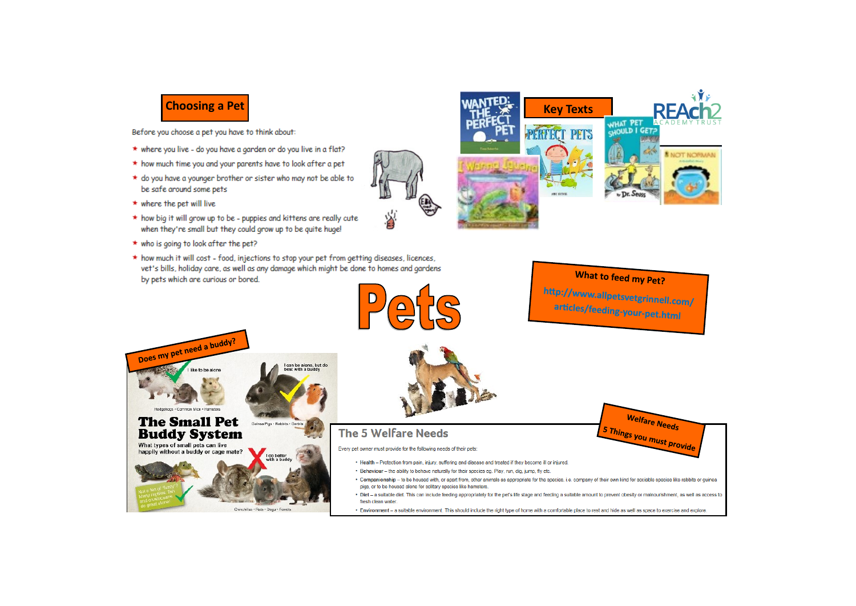

Before you choose a pet you have to think about:

- \* where you live do you have a garden or do you live in a flat?
- \* how much time you and your parents have to look after a pet
- \* do you have a younger brother or sister who may not be able to be safe around some pets
- $\star$  where the pet will live
- \* how big it will grow up to be puppies and kittens are really cute when they're small but they could grow up to be quite huge!
- \* who is going to look after the pet?
- \* how much it will cost food, injections to stop your pet from getting diseases, licences, vet's bills, holiday care, as well as any damage which might be done to homes and gardens by pets which are curious or bored.





À



#### What to feed my Pet?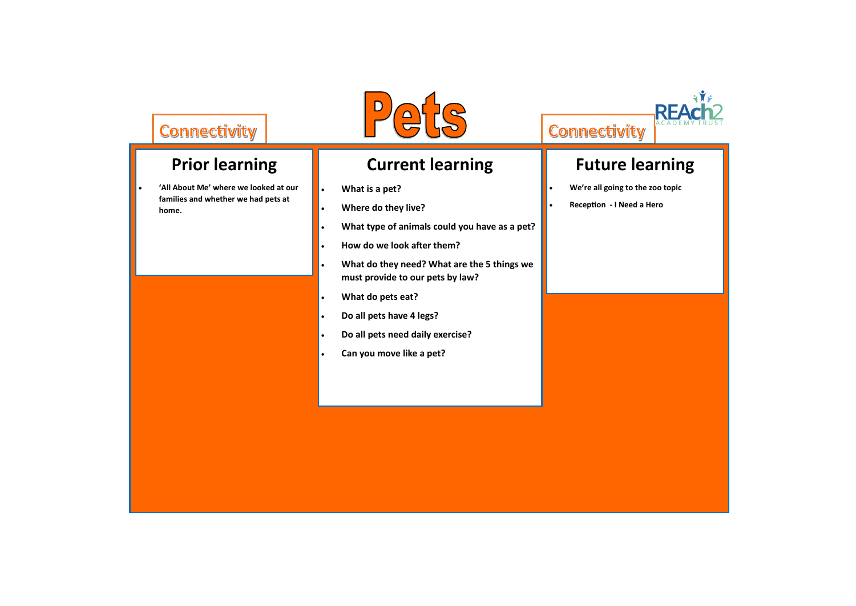## Connectivity

## **Prior learning**

• **'All About Me' where we looked at our families and whether we had pets at home.**



# **Future learning**

- **We're all going to the zoo topic**
- **Reception - I Need a Hero**



#### **Current learning**

- **What is a pet?**
- **Where do they live?**
- **What type of animals could you have as a pet?**
- **How do we look after them?**
- **What do they need? What are the 5 things we must provide to our pets by law?**
- **What do pets eat?**
- **Do all pets have 4 legs?**
- **Do all pets need daily exercise?**
- **Can you move like a pet?**

## Connectivity